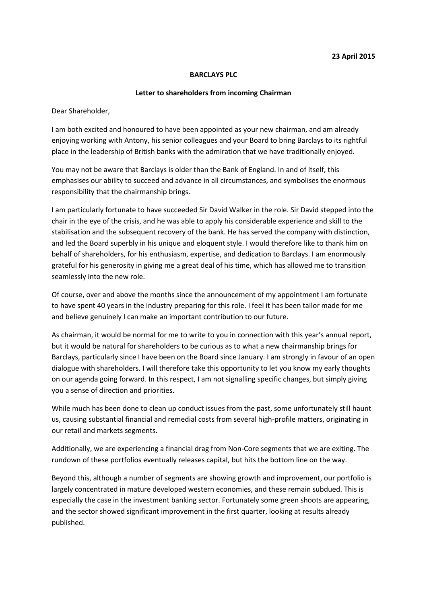## **BARCLAYS PLC**

## **Letter to shareholders from incoming Chairman**

Dear Shareholder,

I am both excited and honoured to have been appointed as your new chairman, and am already enjoying working with Antony, his senior colleagues and your Board to bring Barclays to its rightful place in the leadership of British banks with the admiration that we have traditionally enjoyed.

You may not be aware that Barclays is older than the Bank of England. In and of itself, this emphasises our ability to succeed and advance in all circumstances, and symbolises the enormous responsibility that the chairmanship brings.

I am particularly fortunate to have succeeded Sir David Walker in the role. Sir David stepped into the chair in the eye of the crisis, and he was able to apply his considerable experience and skill to the stabilisation and the subsequent recovery of the bank. He has served the company with distinction, and led the Board superbly in his unique and eloquent style. I would therefore like to thank him on behalf of shareholders, for his enthusiasm, expertise, and dedication to Barclays. I am enormously grateful for his generosity in giving me a great deal of his time, which has allowed me to transition seamlessly into the new role.

Of course, over and above the months since the announcement of my appointment I am fortunate to have spent 40 years in the industry preparing for this role. I feel it has been tailor made for me and believe genuinely I can make an important contribution to our future.

As chairman, it would be normal for me to write to you in connection with this year's annual report, but it would be natural for shareholders to be curious as to what a new chairmanship brings for Barclays, particularly since I have been on the Board since January. I am strongly in favour of an open dialogue with shareholders. I will therefore take this opportunity to let you know my early thoughts on our agenda going forward. In this respect, I am not signalling specific changes, but simply giving you a sense of direction and priorities.

While much has been done to clean up conduct issues from the past, some unfortunately still haunt us, causing substantial financial and remedial costs from several high-profile matters, originating in our retail and markets segments.

Additionally, we are experiencing a financial drag from Non-Core segments that we are exiting. The rundown of these portfolios eventually releases capital, but hits the bottom line on the way.

Beyond this, although a number of segments are showing growth and improvement, our portfolio is largely concentrated in mature developed western economies, and these remain subdued. This is especially the case in the investment banking sector. Fortunately some green shoots are appearing, and the sector showed significant improvement in the first quarter, looking at results already published.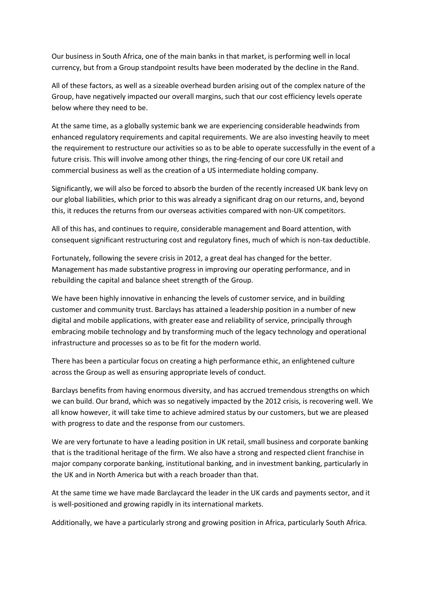Our business in South Africa, one of the main banks in that market, is performing well in local currency, but from a Group standpoint results have been moderated by the decline in the Rand.

All of these factors, as well as a sizeable overhead burden arising out of the complex nature of the Group, have negatively impacted our overall margins, such that our cost efficiency levels operate below where they need to be.

At the same time, as a globally systemic bank we are experiencing considerable headwinds from enhanced regulatory requirements and capital requirements. We are also investing heavily to meet the requirement to restructure our activities so as to be able to operate successfully in the event of a future crisis. This will involve among other things, the ring-fencing of our core UK retail and commercial business as well as the creation of a US intermediate holding company.

Significantly, we will also be forced to absorb the burden of the recently increased UK bank levy on our global liabilities, which prior to this was already a significant drag on our returns, and, beyond this, it reduces the returns from our overseas activities compared with non-UK competitors.

All of this has, and continues to require, considerable management and Board attention, with consequent significant restructuring cost and regulatory fines, much of which is non-tax deductible.

Fortunately, following the severe crisis in 2012, a great deal has changed for the better. Management has made substantive progress in improving our operating performance, and in rebuilding the capital and balance sheet strength of the Group.

We have been highly innovative in enhancing the levels of customer service, and in building customer and community trust. Barclays has attained a leadership position in a number of new digital and mobile applications, with greater ease and reliability of service, principally through embracing mobile technology and by transforming much of the legacy technology and operational infrastructure and processes so as to be fit for the modern world.

There has been a particular focus on creating a high performance ethic, an enlightened culture across the Group as well as ensuring appropriate levels of conduct.

Barclays benefits from having enormous diversity, and has accrued tremendous strengths on which we can build. Our brand, which was so negatively impacted by the 2012 crisis, is recovering well. We all know however, it will take time to achieve admired status by our customers, but we are pleased with progress to date and the response from our customers.

We are very fortunate to have a leading position in UK retail, small business and corporate banking that is the traditional heritage of the firm. We also have a strong and respected client franchise in major company corporate banking, institutional banking, and in investment banking, particularly in the UK and in North America but with a reach broader than that.

At the same time we have made Barclaycard the leader in the UK cards and payments sector, and it is well-positioned and growing rapidly in its international markets.

Additionally, we have a particularly strong and growing position in Africa, particularly South Africa.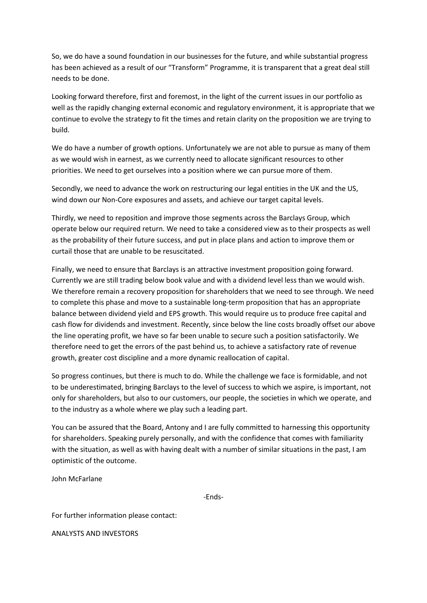So, we do have a sound foundation in our businesses for the future, and while substantial progress has been achieved as a result of our "Transform" Programme, it is transparent that a great deal still needs to be done.

Looking forward therefore, first and foremost, in the light of the current issues in our portfolio as well as the rapidly changing external economic and regulatory environment, it is appropriate that we continue to evolve the strategy to fit the times and retain clarity on the proposition we are trying to build.

We do have a number of growth options. Unfortunately we are not able to pursue as many of them as we would wish in earnest, as we currently need to allocate significant resources to other priorities. We need to get ourselves into a position where we can pursue more of them.

Secondly, we need to advance the work on restructuring our legal entities in the UK and the US, wind down our Non-Core exposures and assets, and achieve our target capital levels.

Thirdly, we need to reposition and improve those segments across the Barclays Group, which operate below our required return. We need to take a considered view as to their prospects as well as the probability of their future success, and put in place plans and action to improve them or curtail those that are unable to be resuscitated.

Finally, we need to ensure that Barclays is an attractive investment proposition going forward. Currently we are still trading below book value and with a dividend level less than we would wish. We therefore remain a recovery proposition for shareholders that we need to see through. We need to complete this phase and move to a sustainable long-term proposition that has an appropriate balance between dividend yield and EPS growth. This would require us to produce free capital and cash flow for dividends and investment. Recently, since below the line costs broadly offset our above the line operating profit, we have so far been unable to secure such a position satisfactorily. We therefore need to get the errors of the past behind us, to achieve a satisfactory rate of revenue growth, greater cost discipline and a more dynamic reallocation of capital.

So progress continues, but there is much to do. While the challenge we face is formidable, and not to be underestimated, bringing Barclays to the level of success to which we aspire, is important, not only for shareholders, but also to our customers, our people, the societies in which we operate, and to the industry as a whole where we play such a leading part.

You can be assured that the Board, Antony and I are fully committed to harnessing this opportunity for shareholders. Speaking purely personally, and with the confidence that comes with familiarity with the situation, as well as with having dealt with a number of similar situations in the past, I am optimistic of the outcome.

John McFarlane

-Ends-

For further information please contact:

ANALYSTS AND INVESTORS